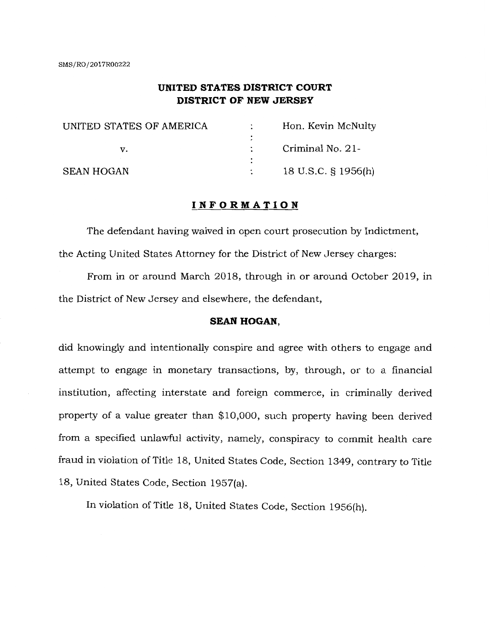# **UNITED STATES DISTRICT COURT DISTRICT OF NEW JERSEY**

| UNITED STATES OF AMERICA | Hon. Kevin McNulty  |
|--------------------------|---------------------|
|                          |                     |
|                          | Criminal No. 21-    |
|                          |                     |
| SEAN HOGAN               | 18 U.S.C. § 1956(h) |

# **INFORMATION**

The defendant having waived in open court prosecution by Indictment, the Acting United States Attorney for the District of New Jersey charges:

From in or around March 2018, through in or around October 2019, in the District of New Jersey and elsewhere, the defendant,

## **SEAN HOGAN,**

did knowingly and intentionally conspire and agree with others to engage and attempt to engage in monetary transactions, by, through, or to a financial institution, affecting interstate and foreign commerce, in criminally derived property of a value greater than \$10,000, such property having been derived from a specified unlawful activity, namely, conspiracy to commit health care fraud in violation of Title 18, United States Code, Section 1349, contrary to Title 18, United States Code, Section 1957(a).

In violation of Title 18, United States Code, Section 1956(h).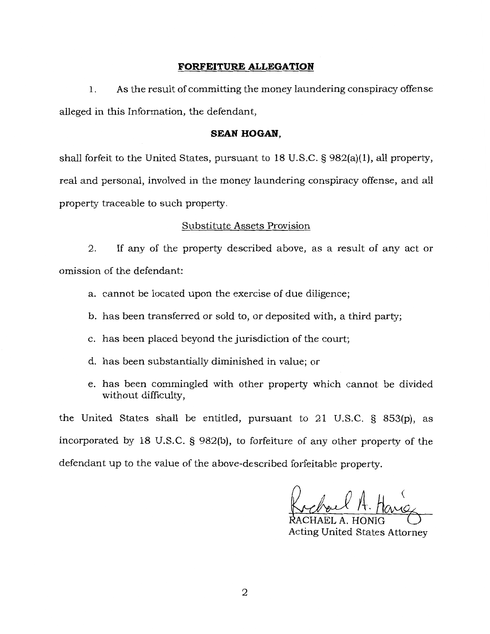# **FORFEITURE ALLEGATION**

1. As the result of committing the money laundering conspiracy offense alleged in this Information, the defendant,

# **SEAN HOGAN,**

shall forfeit to the United States, pursuant to  $18$  U.S.C. § 982(a)(1), all property, real and personal, involved in the money laundering conspiracy offense, and all property traceable to such property.

# Substitute Assets Provision

2. If any of the property described above, as a result of any act or omission of the defendant:

- a. cannot be located upon the exercise of due diligence;
- b. has been transferred or sold to, or deposited with, a third party;
- c. has been placed beyond the jurisdiction of the court;
- d. has been substantially diminished in value; or
- e. has been commingled with other property which cannot be divided without difficulty,

the United States shall be entitled, pursuant to 21 U.S.C. § 853(p), as incorporated by 18 U.S.C. § 982(b), to forfeiture of any other property of the defendant up to the value of the above-described forfeitable property.

Kichael A. Harry

Acting United States Attorney

2